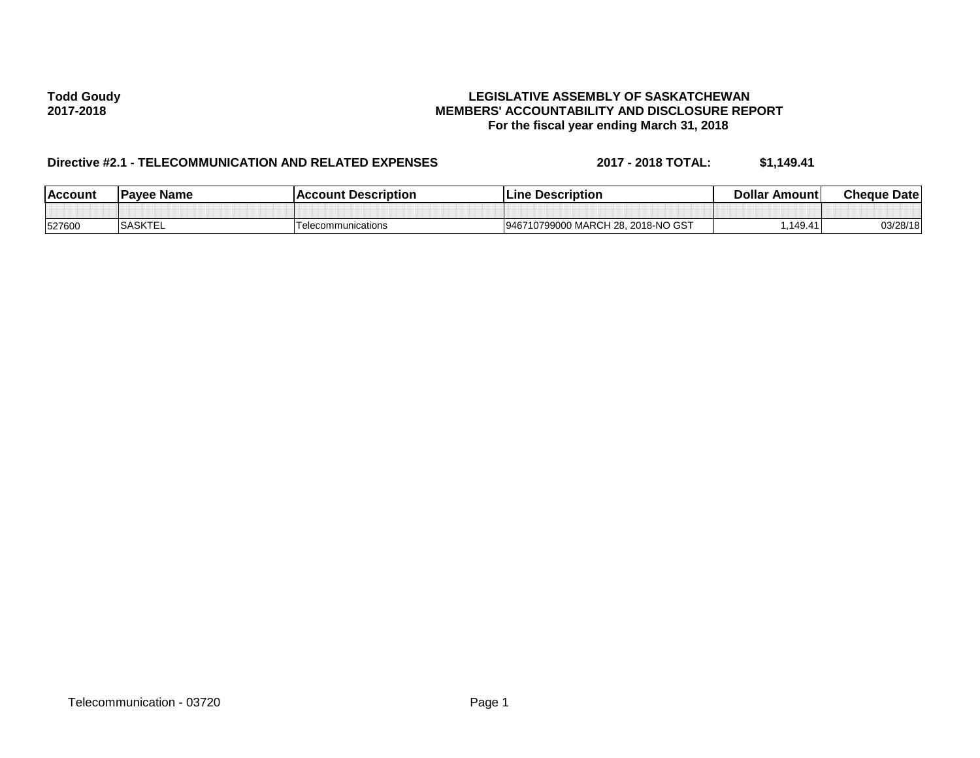## **Todd Goudy LEGISLATIVE ASSEMBLY OF SASKATCHEWAN 2017-2018 MEMBERS' ACCOUNTABILITY AND DISCLOSURE REPORT For the fiscal year ending March 31, 2018**

# **Directive #2.1 - TELECOMMUNICATION AND RELATED EXPENSES 2017 - 2018 TOTAL: \$1,149.41**

| <b>Account</b> | <b>Pavee Name</b> | <b>IAccount Description</b> | <b>Line Description</b>                        | <b>Dollar</b><br>∶Amount | <b>Cheque Datel</b> |
|----------------|-------------------|-----------------------------|------------------------------------------------|--------------------------|---------------------|
|                |                   |                             |                                                |                          |                     |
| 527600         | <b>SASKTEL</b>    | Telecommunications          | 2018-NO GST<br>) MARCH 28.<br>10799000<br>9467 | 1494.<br>⊸-              | 03/28/18            |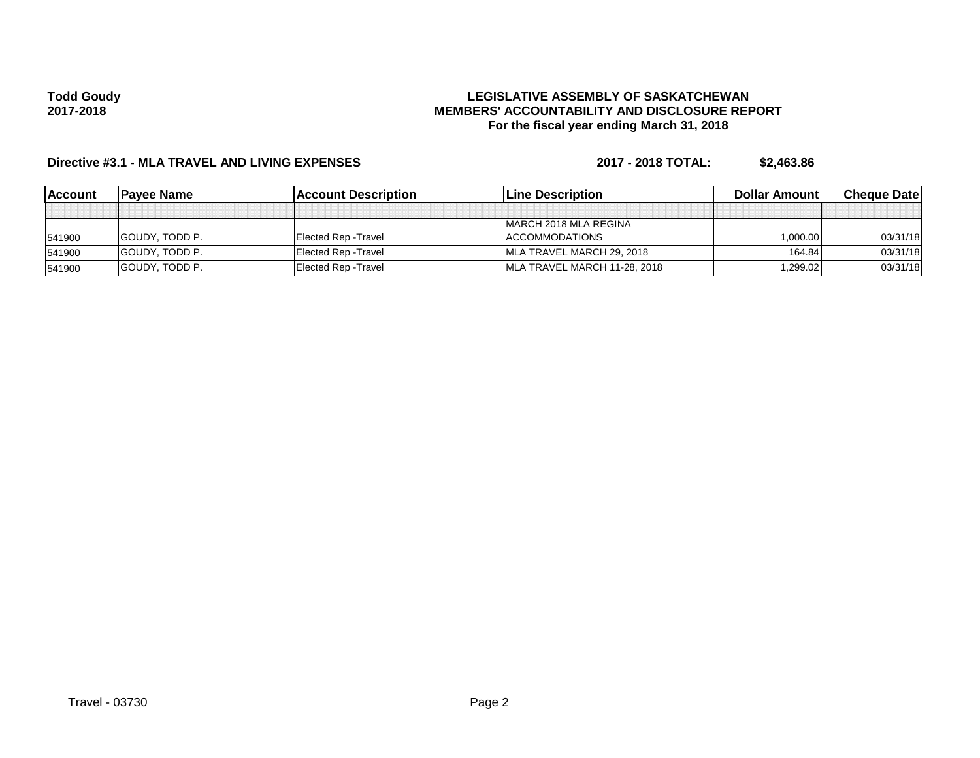## **Todd Goudy 2017-2018**

## **LEGISLATIVE ASSEMBLY OF SASKATCHEWAN MEMBERS' ACCOUNTABILITY AND DISCLOSURE REPORT For the fiscal year ending March 31, 2018**

# **Directive #3.1 - MLA TRAVEL AND LIVING EXPENSES 2017 - 2018 TOTAL: \$2,463.86**

| <b>Account</b> | <b>Pavee Name</b>     | <b>Account Description</b>  | <b>Line Description</b>      | Dollar Amount | <b>Cheque Datel</b> |
|----------------|-----------------------|-----------------------------|------------------------------|---------------|---------------------|
|                |                       |                             |                              |               |                     |
|                |                       |                             | MARCH 2018 MLA REGINA        |               |                     |
| 541900         | <b>GOUDY. TODD P.</b> | Elected Rep - Travel        | ACCOMMODATIONS               | 1.000.00      | 03/31/18            |
| 541900         | <b>GOUDY. TODD P.</b> | Elected Rep - Travel        | IMLA TRAVEL MARCH 29, 2018   | 164.84        | 03/31/18            |
| 541900         | <b>GOUDY. TODD P.</b> | <b>Elected Rep - Travel</b> | MLA TRAVEL MARCH 11-28, 2018 | 299.02.1      | 03/31/18            |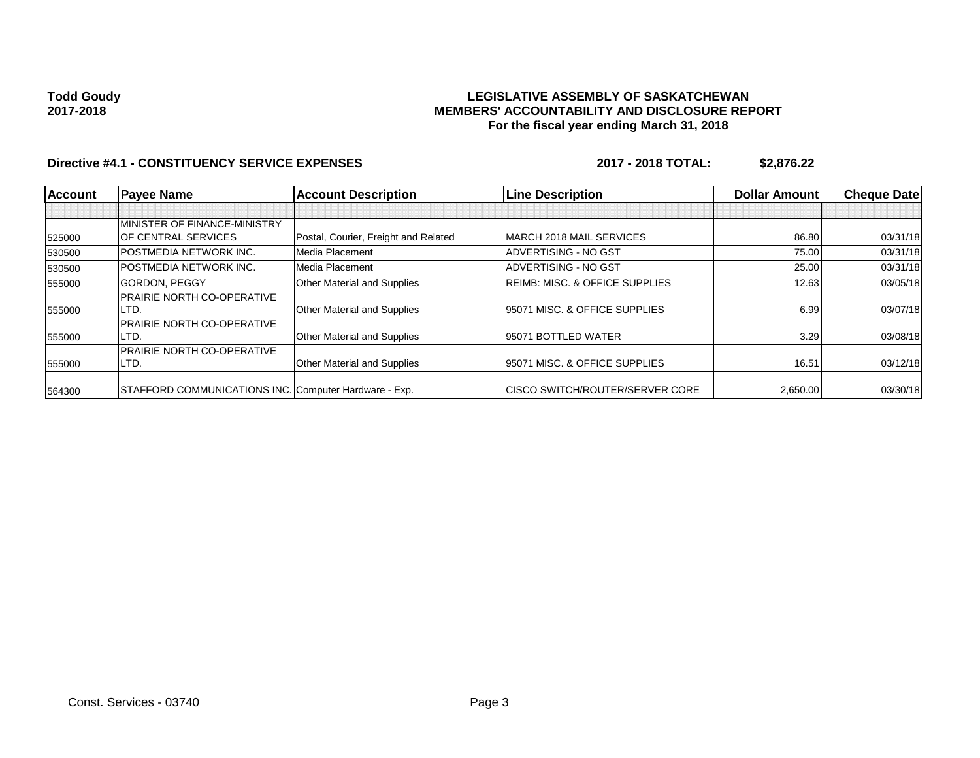**Todd Goudy 2017-2018**

## **LEGISLATIVE ASSEMBLY OF SASKATCHEWAN MEMBERS' ACCOUNTABILITY AND DISCLOSURE REPORT For the fiscal year ending March 31, 2018**

## **Directive #4.1 - CONSTITUENCY SERVICE EXPENSES 2017 - 2018 TOTAL: \$2,876.22**

| <b>Account</b> | <b>Payee Name</b>                                     | <b>Account Description</b>           | <b>Line Description</b>                   | <b>Dollar Amountl</b> | <b>Cheque Datel</b> |
|----------------|-------------------------------------------------------|--------------------------------------|-------------------------------------------|-----------------------|---------------------|
|                |                                                       |                                      |                                           |                       |                     |
|                | MINISTER OF FINANCE-MINISTRY                          |                                      |                                           |                       |                     |
| 525000         | <b>IOF CENTRAL SERVICES</b>                           | Postal, Courier, Freight and Related | MARCH 2018 MAIL SERVICES                  | 86.80                 | 03/31/18            |
| 530500         | <b>POSTMEDIA NETWORK INC.</b>                         | Media Placement                      | ADVERTISING - NO GST                      | 75.00                 | 03/31/18            |
| 530500         | <b>POSTMEDIA NETWORK INC.</b>                         | Media Placement                      | ADVERTISING - NO GST                      | 25.00                 | 03/31/18            |
| 555000         | <b>GORDON, PEGGY</b>                                  | Other Material and Supplies          | <b>REIMB: MISC. &amp; OFFICE SUPPLIES</b> | 12.63                 | 03/05/18            |
|                | <b>PRAIRIE NORTH CO-OPERATIVE</b>                     |                                      |                                           |                       |                     |
| 555000         | LTD.                                                  | Other Material and Supplies          | 95071 MISC, & OFFICE SUPPLIES             | 6.99                  | 03/07/18            |
|                | <b>PRAIRIE NORTH CO-OPERATIVE</b>                     |                                      |                                           |                       |                     |
| 555000         | LTD.                                                  | Other Material and Supplies          | 95071 BOTTLED WATER                       | 3.29                  | 03/08/18            |
|                | <b>PRAIRIE NORTH CO-OPERATIVE</b>                     |                                      |                                           |                       |                     |
| 555000         | LTD.                                                  | Other Material and Supplies          | 95071 MISC, & OFFICE SUPPLIES             | 16.51                 | 03/12/18            |
| 564300         | STAFFORD COMMUNICATIONS INC. Computer Hardware - Exp. |                                      | <b>CISCO SWITCH/ROUTER/SERVER CORE</b>    | 2,650.00              | 03/30/18            |